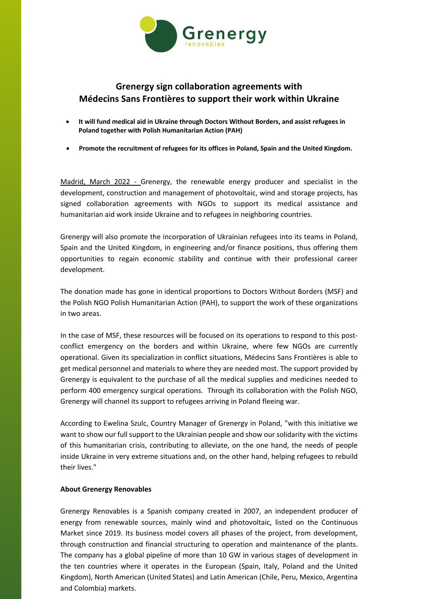

## **Grenergy sign collaboration agreements with Médecins Sans Frontières to support their work within Ukraine**

- **It will fund medical aid in Ukraine through Doctors Without Borders, and assist refugees in Poland together with Polish Humanitarian Action (PAH)**
- **Promote the recruitment of refugees for its offices in Poland, Spain and the United Kingdom.**

Madrid, March 2022 - Grenergy, the renewable energy producer and specialist in the development, construction and management of photovoltaic, wind and storage projects, has signed collaboration agreements with NGOs to support its medical assistance and humanitarian aid work inside Ukraine and to refugees in neighboring countries.

Grenergy will also promote the incorporation of Ukrainian refugees into its teams in Poland, Spain and the United Kingdom, in engineering and/or finance positions, thus offering them opportunities to regain economic stability and continue with their professional career development.

The donation made has gone in identical proportions to Doctors Without Borders (MSF) and the Polish NGO Polish Humanitarian Action (PAH), to support the work of these organizations in two areas.

In the case of MSF, these resources will be focused on its operations to respond to this postconflict emergency on the borders and within Ukraine, where few NGOs are currently operational. Given its specialization in conflict situations, Médecins Sans Frontières is able to get medical personnel and materials to where they are needed most. The support provided by Grenergy is equivalent to the purchase of all the medical supplies and medicines needed to perform 400 emergency surgical operations. Through its collaboration with the Polish NGO, Grenergy will channel its support to refugees arriving in Poland fleeing war.

According to Ewelina Szulc, Country Manager of Grenergy in Poland, "with this initiative we want to show our full support to the Ukrainian people and show our solidarity with the victims of this humanitarian crisis, contributing to alleviate, on the one hand, the needs of people inside Ukraine in very extreme situations and, on the other hand, helping refugees to rebuild their lives."

## **About Grenergy Renovables**

Grenergy Renovables is a Spanish company created in 2007, an independent producer of energy from renewable sources, mainly wind and photovoltaic, listed on the Continuous Market since 2019. Its business model covers all phases of the project, from development, through construction and financial structuring to operation and maintenance of the plants. The company has a global pipeline of more than 10 GW in various stages of development in the ten countries where it operates in the European (Spain, Italy, Poland and the United Kingdom), North American (United States) and Latin American (Chile, Peru, Mexico, Argentina and Colombia) markets.